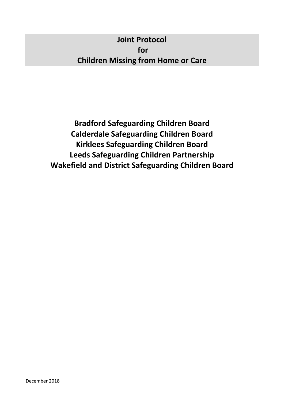# **Joint Protocol for Children Missing from Home or Care**

**Bradford Safeguarding Children Board Calderdale Safeguarding Children Board Kirklees Safeguarding Children Board Leeds Safeguarding Children Partnership Wakefield and District Safeguarding Children Board**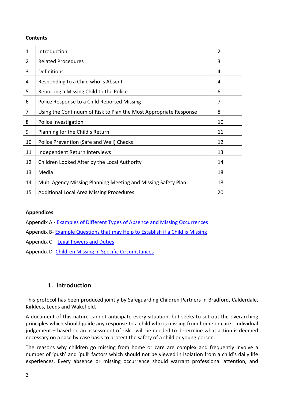#### **Contents**

| Introduction                                                      | $\overline{2}$ |
|-------------------------------------------------------------------|----------------|
| <b>Related Procedures</b>                                         | 3              |
| Definitions                                                       | 4              |
| Responding to a Child who is Absent                               | 4              |
| Reporting a Missing Child to the Police                           | 6              |
| Police Response to a Child Reported Missing                       | 7              |
| Using the Continuum of Risk to Plan the Most Appropriate Response | 8              |
| Police Investigation                                              | 10             |
| Planning for the Child's Return                                   | 11             |
| Police Prevention (Safe and Well) Checks                          | 12             |
| Independent Return Interviews                                     | 13             |
| Children Looked After by the Local Authority                      | 14             |
| Media                                                             | 18             |
| Multi Agency Missing Planning Meeting and Missing Safety Plan     | 18             |
| <b>Additional Local Area Missing Procedures</b>                   | 20             |
|                                                                   |                |

#### **Appendices**

Appendix A - Examples [of Different Types of Absence and Missing Occurrences](https://www.proceduresonline.com/westyorkscb/user_controlled_lcms_area/uploaded_files/Appendix%20A%20Examples%20of%20Different%20Types%20of%20Absence%20and%20Missing%20FINAL.pdf)

Appendix B- [Example Questions that may Help to Establish if a Child is Missing](https://www.proceduresonline.com/westyorkscb/user_controlled_lcms_area/uploaded_files/Appendix%20B%20Example%20Questions%20to%20Help%20Estalish%20if%20a%20child%20is%20missing%20FINAL.pdf)

Appendix C – [Legal Powers and Duties](https://www.proceduresonline.com/westyorkscb/user_controlled_lcms_area/uploaded_files/Appendix%20C%20legal%20powers%20and%20duties%20FINAL.pdf)

Appendix D- [Children Missing in Specific Circumstances](https://www.proceduresonline.com/westyorkscb/user_controlled_lcms_area/uploaded_files/Appendix%20D%20Children%20missing%20in%20specific%20circumstances.pdf)

### **1. Introduction**

This protocol has been produced jointly by Safeguarding Children Partners in Bradford, Calderdale, Kirklees, Leeds and Wakefield.

A document of this nature cannot anticipate every situation, but seeks to set out the overarching principles which should guide any response to a child who is missing from home or care. Individual judgement – based on an assessment of risk - will be needed to determine what action is deemed necessary on a case by case basis to protect the safety of a child or young person.

The reasons why children go missing from home or care are complex and frequently involve a number of 'push' and 'pull' factors which should not be viewed in isolation from a child's daily life experiences. Every absence or missing occurrence should warrant professional attention, and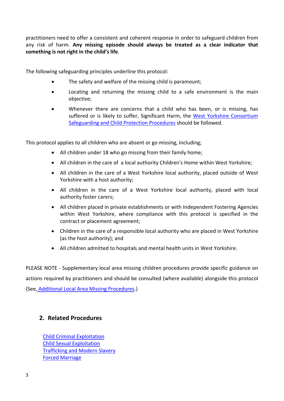practitioners need to offer a consistent and coherent response in order to safeguard children from any risk of harm. **Any missing episode should always be treated as a clear indicator that something is not right in the child's life**.

The following safeguarding principles underline this protocol:

- The safety and welfare of the missing child is paramount;
- Locating and returning the missing child to a safe environment is the main objective;
- Whenever there are concerns that a child who has been, or is missing, has suffered or is likely to suffer, Significant Harm, the [West Yorkshire](http://westyorkscb.proceduresonline.com/chapters/contents.html) Consortium [Safeguarding and Child Protection Procedures](http://westyorkscb.proceduresonline.com/chapters/contents.html) should be followed.

This protocol applies to all children who are absent or go missing, including;

- All children under 18 who go missing from their family home;
- All children in the care of a local authority Children's Home within West Yorkshire;
- All children in the care of a West Yorkshire local authority, placed outside of West Yorkshire with a host authority;
- All children in the care of a West Yorkshire local authority, placed with local authority foster carers;
- All children placed in private establishments or with Independent Fostering Agencies within West Yorkshire, where compliance with this protocol is specified in the contract or placement agreement;
- Children in the care of a responsible local authority who are placed in West Yorkshire (as the host authority); and
- All children admitted to hospitals and mental health units in West Yorkshire.

PLEASE NOTE - Supplementary local area missing children procedures provide specific guidance on actions required by practitioners and should be consulted (where available) alongside this protocol (See, [Additional Local Area Missing Procedures.](http://westyorkscb.proceduresonline.com/chapters/local_resources.html#missing_ch))

### **2. Related Procedures**

[Child Criminal Exploitation](http://westyorkscb.proceduresonline.com/chapters/p_ch_criminal_ex.html) [Child Sexual Exploitation](http://westyorkscb.proceduresonline.com/chapters/p_sg_ch_and_yp.html) [Trafficking and Modern Slavery](http://westyorkscb.proceduresonline.com/chapters/p_safeg_traff_ch.htm) [Forced Marriage](http://westyorkscb.proceduresonline.com/chapters/p_force_marr.html)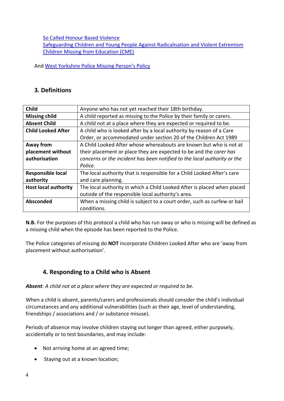[So Called Honour Based Violence](http://westyorkscb.proceduresonline.com/chapters/p_honour_based_violence.html)

[Safeguarding Children and Young People Against Radicalisation](http://westyorkscb.proceduresonline.com/chapters/p_violent_extreme.html) and Violent Extremism [Children Missing from Education \(CME\)](http://westyorkscb.proceduresonline.com/chapters/p_child_miss_edu.html)

And [West Yorkshire Police Missing Person's Policy](https://www.westyorkshire.police.uk/sites/default/files/files/policies/missing_persons_n1.pdf)

### **3. Definitions**

| <b>Child</b>                | Anyone who has not yet reached their 18th birthday.                      |
|-----------------------------|--------------------------------------------------------------------------|
| <b>Missing child</b>        | A child reported as missing to the Police by their family or carers.     |
| <b>Absent Child</b>         | A child not at a place where they are expected or required to be.        |
| <b>Child Looked After</b>   | A child who is looked after by a local authority by reason of a Care     |
|                             | Order, or accommodated under section 20 of the Children Act 1989         |
| Away from                   | A Child Looked After whose whereabouts are known but who is not at       |
| placement without           | their placement or place they are expected to be and the carer has       |
| authorisation               | concerns or the incident has been notified to the local authority or the |
|                             | Police.                                                                  |
| <b>Responsible local</b>    | The local authority that is responsible for a Child Looked After's care  |
| authority                   | and care planning.                                                       |
| <b>Host local authority</b> | The local authority in which a Child Looked After is placed when placed  |
|                             | outside of the responsible local authority's area.                       |
| <b>Absconded</b>            | When a missing child is subject to a court order, such as curfew or bail |
|                             | conditions.                                                              |

**N.B.** For the purposes of this protocol a child who has run away or who is missing will be defined as a missing child when the episode has been reported to the Police.

The Police categories of missing do **NOT** incorporate Children Looked After who are 'away from placement without authorisation'.

## **4. Responding to a Child who is Absent**

*Absent*: *A child not at a place where they are expected or required to be.*

When a child is absent, parents/carers and professionals should consider the child's individual circumstances and any additional vulnerabilities (such as their age, level of understanding, friendships / associations and / or substance misuse).

Periods of absence may involve children staying out longer than agreed, either purposely, accidentally or to test boundaries, and may include:

- Not arriving home at an agreed time;
- Staying out at a known location;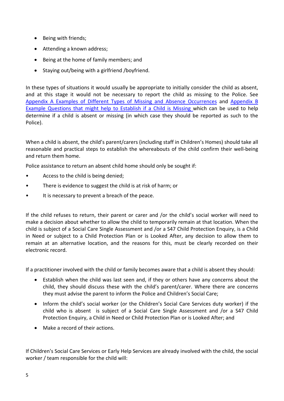- Being with friends;
- Attending a known address;
- Being at the home of family members; and
- Staying out/being with a girlfriend /boyfriend.

In these types of situations it would usually be appropriate to initially consider the child as absent, and at this stage it would not be necessary to report the child as missing to the Police. See [Appendix A Examples of Different Types of Missing and Absence](https://www.proceduresonline.com/westyorkscb/user_controlled_lcms_area/uploaded_files/Appendix%20A%20Examples%20of%20Different%20Types%20of%20Absence%20and%20Missing%20FINAL.pdf) Occurrences and [Appendix B](https://www.proceduresonline.com/westyorkscb/user_controlled_lcms_area/uploaded_files/Appendix%20B%20Example%20Questions%20to%20Help%20Estalish%20if%20a%20child%20is%20missing%20FINAL.pdf)  [Example Questions that might help to Establish if a Child is Missing](https://www.proceduresonline.com/westyorkscb/user_controlled_lcms_area/uploaded_files/Appendix%20B%20Example%20Questions%20to%20Help%20Estalish%20if%20a%20child%20is%20missing%20FINAL.pdf) which can be used to help determine if a child is absent or missing (in which case they should be reported as such to the Police).

When a child is absent, the child's parent/carers (including staff in Children's Homes) should take all reasonable and practical steps to establish the whereabouts of the child confirm their well-being and return them home.

Police assistance to return an absent child home should only be sought if:

- Access to the child is being denied;
- There is evidence to suggest the child is at risk of harm; or
- It is necessary to prevent a breach of the peace.

If the child refuses to return, their parent or carer and /or the child's social worker will need to make a decision about whether to allow the child to temporarily remain at that location. When the child is subject of a Social Care Single Assessment and /or a S47 Child Protection Enquiry, is a Child in Need or subject to a Child Protection Plan or is Looked After, any decision to allow them to remain at an alternative location, and the reasons for this, must be clearly recorded on their electronic record.

If a practitioner involved with the child or family becomes aware that a child is absent they should:

- Establish when the child was last seen and, if they or others have any concerns about the child, they should discuss these with the child's parent/carer. Where there are concerns they must advise the parent to inform the Police and Children's Social Care;
- Inform the child's social worker (or the Children's Social Care Services duty worker) if the child who is absent is subject of a Social Care Single Assessment and /or a S47 Child Protection Enquiry, a Child in Need or Child Protection Plan or is Looked After; and
- Make a record of their actions.

If Children's Social Care Services or Early Help Services are already involved with the child, the social worker / team responsible for the child will: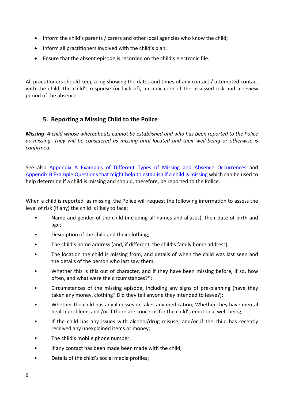- Inform the child's parents / carers and other local agencies who know the child;
- Inform all practitioners involved with the child's plan;
- Ensure that the absent episode is recorded on the child's electronic file.

All practitioners should keep a log showing the dates and times of any contact / attempted contact with the child, the child's response (or lack of), an indication of the assessed risk and a review period of the absence.

## **5. Reporting a Missing Child to the Police**

*Missing*: *A child whose whereabouts cannot be established and who has been reported to the Police as missing. They will be considered as missing until located and their well-being or otherwise is confirmed.*

See also [Appendix A Examples of Different Types of Missing and Absence](https://www.proceduresonline.com/westyorkscb/user_controlled_lcms_area/uploaded_files/Appendix%20A%20Examples%20of%20Different%20Types%20of%20Absence%20and%20Missing%20FINAL.pdf) Occurrences and [Appendix B Example Questions that might help to establish if a child is missing](https://www.proceduresonline.com/westyorkscb/user_controlled_lcms_area/uploaded_files/Appendix%20B%20Example%20Questions%20to%20Help%20Estalish%20if%20a%20child%20is%20missing%20FINAL.pdf) which can be used to help determine if a child is missing and should, therefore, be reported to the Police.

When a child is reported as missing, the Police will request the following information to assess the level of risk (if any) the child is likely to face:

- Name and gender of the child (including all names and aliases), their date of birth and age;
- Description of the child and their clothing;
- The child's home address (and, if different, the child's family home address);
- The location the child is missing from, and details of when the child was last seen and the details of the person who last saw them;
- Whether this is this out of character, and if they have been missing before, if so, how often, and what were the circumstances?\*;
- Circumstances of the missing episode, including any signs of pre-planning (have they taken any money, clothing? Did they tell anyone they intended to leave?);
- Whether the child has any illnesses or takes any medication; Whether they have mental health problems and /or if there are concerns for the child's emotional well-being;
- If the child has any issues with alcohol/drug misuse, and/or if the child has recently received any unexplained items or money;
- The child's mobile phone number;
- If any contact has been made been made with the child:
- Details of the child's social media profiles;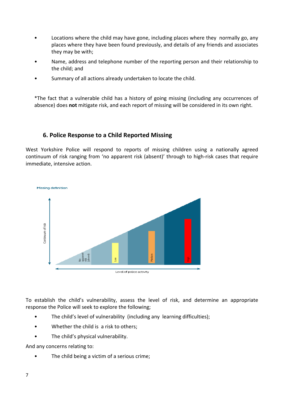- Locations where the child may have gone, including places where they normally go, any places where they have been found previously, and details of any friends and associates they may be with;
- Name, address and telephone number of the reporting person and their relationship to the child; and
- Summary of all actions already undertaken to locate the child.

\*The fact that a vulnerable child has a history of going missing (including any occurrences of absence) does **not** mitigate risk, and each report of missing will be considered in its own right.

### **6. Police Response to a Child Reported Missing**

West Yorkshire Police will respond to reports of missing children using a nationally agreed continuum of risk ranging from 'no apparent risk (absent)' through to high-risk cases that require immediate, intensive action.



To establish the child's vulnerability, assess the level of risk, and determine an appropriate response the Police will seek to explore the following;

- The child's level of vulnerability (including any learning difficulties);
- Whether the child is a risk to others;
- The child's physical vulnerability.

And any concerns relating to:

• The child being a victim of a serious crime;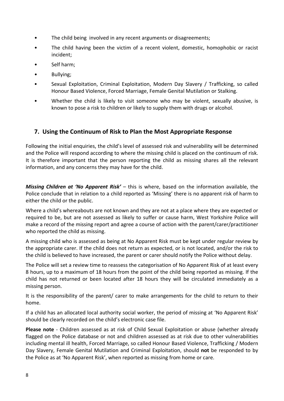- The child being involved in any recent arguments or disagreements;
- The child having been the victim of a recent violent, domestic, homophobic or racist incident;
- Self harm;
- Bullying;
- Sexual Exploitation, Criminal Exploitation, Modern Day Slavery / Trafficking, so called Honour Based Violence, Forced Marriage, Female Genital Mutilation or Stalking.
- Whether the child is likely to visit someone who may be violent, sexually abusive, is known to pose a risk to children or likely to supply them with drugs or alcohol.

## **7. Using the Continuum of Risk to Plan the Most Appropriate Response**

Following the initial enquiries, the child's level of assessed risk and vulnerability will be determined and the Police will respond according to where the missing child is placed on the continuum of risk. It is therefore important that the person reporting the child as missing shares all the relevant information, and any concerns they may have for the child.

*Missing Children at 'No Apparent Risk'* – this is where, based on the information available, the Police conclude that in relation to a child reported as 'Missing' there is no apparent risk of harm to either the child or the public.

Where a child's whereabouts are not known and they are not at a place where they are expected or required to be, but are not assessed as likely to suffer or cause harm, West Yorkshire Police will make a record of the missing report and agree a course of action with the parent/carer/practitioner who reported the child as missing.

A missing child who is assessed as being at No Apparent Risk must be kept under regular review by the appropriate carer. If the child does not return as expected, or is not located, and/or the risk to the child is believed to have increased, the parent or carer should notify the Police without delay.

The Police will set a review time to reassess the categorisation of No Apparent Risk of at least every 8 hours, up to a maximum of 18 hours from the point of the child being reported as missing. If the child has not returned or been located after 18 hours they will be circulated immediately as a missing person.

It is the responsibility of the parent/ carer to make arrangements for the child to return to their home.

If a child has an allocated local authority social worker, the period of missing at 'No Apparent Risk' should be clearly recorded on the child's electronic case file.

**Please note** - Children assessed as at risk of Child Sexual Exploitation or abuse (whether already flagged on the Police database or not and children assessed as at risk due to other vulnerabilities including mental ill health, Forced Marriage, so called Honour Based Violence, Trafficking / Modern Day Slavery, Female Genital Mutilation and Criminal Exploitation, should **not** be responded to by the Police as at 'No Apparent Risk', when reported as missing from home or care.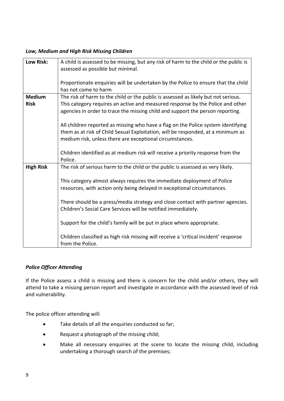#### *Low, Medium and High Risk Missing Children*

| Low Risk:                    | A child is assessed to be missing, but any risk of harm to the child or the public is<br>assessed as possible but minimal.                                                                                                        |
|------------------------------|-----------------------------------------------------------------------------------------------------------------------------------------------------------------------------------------------------------------------------------|
|                              | Proportionate enquiries will be undertaken by the Police to ensure that the child<br>has not come to harm                                                                                                                         |
| <b>Medium</b><br><b>Risk</b> | The risk of harm to the child or the public is assessed as likely but not serious.<br>This category requires an active and measured response by the Police and other                                                              |
|                              | agencies in order to trace the missing child and support the person reporting.                                                                                                                                                    |
|                              | All children reported as missing who have a flag on the Police system identifying<br>them as at risk of Child Sexual Exploitation, will be responded, at a minimum as<br>medium risk, unless there are exceptional circumstances. |
|                              | Children identified as at medium risk will receive a priority response from the<br>Police.                                                                                                                                        |
| <b>High Risk</b>             | The risk of serious harm to the child or the public is assessed as very likely.                                                                                                                                                   |
|                              | This category almost always requires the immediate deployment of Police<br>resources, with action only being delayed in exceptional circumstances.                                                                                |
|                              | There should be a press/media strategy and close contact with partner agencies.<br>Children's Social Care Services will be notified immediately.                                                                                  |
|                              | Support for the child's family will be put in place where appropriate.                                                                                                                                                            |
|                              | Children classified as high risk missing will receive a 'critical incident' response<br>from the Police.                                                                                                                          |

#### *Police Officer Attending*

If the Police assess a child is missing and there is concern for the child and/or others, they will attend to take a missing person report and investigate in accordance with the assessed level of risk and vulnerability.

The police officer attending will:

- Take details of all the enquiries conducted so far;
- Request a photograph of the missing child;
- Make all necessary enquiries at the scene to locate the missing child, including undertaking a thorough search of the premises;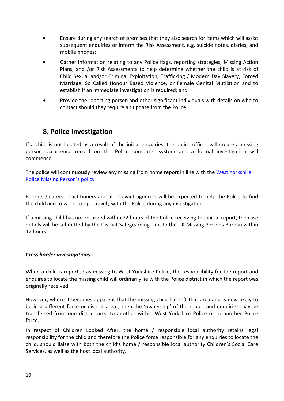- Ensure during any search of premises that they also search for items which will assist subsequent enquiries or inform the Risk Assessment, e.g. suicide notes, diaries, and mobile phones;
- Gather information relating to any Police flags, reporting strategies, Missing Action Plans, and /or Risk Assessments to help determine whether the child is at risk of Child Sexual and/or Criminal Exploitation, Trafficking / Modern Day Slavery, Forced Marriage, So Called Honour Based Violence, or Female Genital Mutilation and to establish if an immediate investigation is required; and
- Provide the reporting person and other significant individuals with details on who to contact should they require an update from the Police.

## **8. Police Investigation**

If a child is not located as a result of the initial enquiries, the police officer will create a missing person occurrence record on the Police computer system and a formal investigation will commence.

The police will continuously review any missing from home report in line with the [West Yorkshire](https://www.westyorkshire.police.uk/sites/default/files/files/policies/missing_persons_n1.pdf)  [Police Missing Person's policy](https://www.westyorkshire.police.uk/sites/default/files/files/policies/missing_persons_n1.pdf)

Parents / carers, practitioners and all relevant agencies will be expected to help the Police to find the child and to work co-operatively with the Police during any investigation.

If a missing child has not returned within 72 hours of the Police receiving the initial report, the case details will be submitted by the District Safeguarding Unit to the UK Missing Persons Bureau within 12 hours.

#### *Cross border investigations*

When a child is reported as missing to West Yorkshire Police, the responsibility for the report and enquires to locate the missing child will ordinarily lie with the Police district in which the report was originally received.

However, where it becomes apparent that the missing child has left that area and is now likely to be in a different force or district area , then the 'ownership' of the report and enquiries may be transferred from one district area to another within West Yorkshire Police or to another Police force.

In respect of Children Looked After, the home / responsible local authority retains legal responsibility for the child and therefore the Police force responsible for any enquiries to locate the child, should liaise with both the child's home / responsible local authority Children's Social Care Services, as well as the host local authority.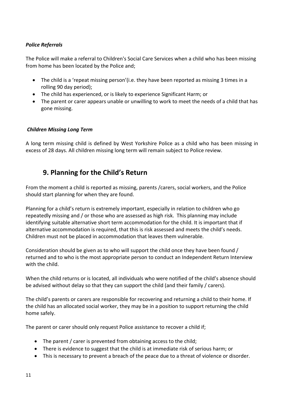### *Police Referrals*

The Police will make a referral to Children's Social Care Services when a child who has been missing from home has been located by the Police and;

- The child is a 'repeat missing person'(i.e. they have been reported as missing 3 times in a rolling 90 day period);
- The child has experienced, or is likely to experience Significant Harm; or
- The parent or carer appears unable or unwilling to work to meet the needs of a child that has gone missing.

#### *Children Missing Long Term*

A long term missing child is defined by West Yorkshire Police as a child who has been missing in excess of 28 days. All children missing long term will remain subject to Police review.

## **9. Planning for the Child's Return**

From the moment a child is reported as missing, parents /carers, social workers, and the Police should start planning for when they are found.

Planning for a child's return is extremely important, especially in relation to children who go repeatedly missing and / or those who are assessed as high risk. This planning may include identifying suitable alternative short term accommodation for the child. It is important that if alternative accommodation is required, that this is risk assessed and meets the child's needs. Children must not be placed in accommodation that leaves them vulnerable.

Consideration should be given as to who will support the child once they have been found / returned and to who is the most appropriate person to conduct an Independent Return Interview with the child.

When the child returns or is located, all individuals who were notified of the child's absence should be advised without delay so that they can support the child (and their family / carers).

The child's parents or carers are responsible for recovering and returning a child to their home. If the child has an allocated social worker, they may be in a position to support returning the child home safely.

The parent or carer should only request Police assistance to recover a child if;

- The parent / carer is prevented from obtaining access to the child;
- There is evidence to suggest that the child is at immediate risk of serious harm; or
- This is necessary to prevent a breach of the peace due to a threat of violence or disorder.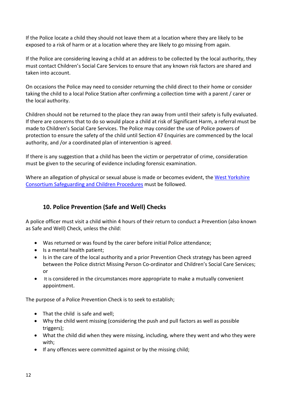If the Police locate a child they should not leave them at a location where they are likely to be exposed to a risk of harm or at a location where they are likely to go missing from again.

If the Police are considering leaving a child at an address to be collected by the local authority, they must contact Children's Social Care Services to ensure that any known risk factors are shared and taken into account.

On occasions the Police may need to consider returning the child direct to their home or consider taking the child to a local Police Station after confirming a collection time with a parent / carer or the local authority.

Children should not be returned to the place they ran away from until their safety is fully evaluated. If there are concerns that to do so would place a child at risk of Significant Harm, a referral must be made to Children's Social Care Services. The Police may consider the use of Police powers of protection to ensure the safety of the child until Section 47 Enquiries are commenced by the local authority, and /or a coordinated plan of intervention is agreed.

If there is any suggestion that a child has been the victim or perpetrator of crime, consideration must be given to the securing of evidence including forensic examination.

Where an allegation of physical or sexual abuse is made or becomes evident, the [West Yorkshire](http://westyorkscb.proceduresonline.com/chapters/contents.html)  [Consortium Safeguarding and](http://westyorkscb.proceduresonline.com/chapters/contents.html) Children Procedures must be followed.

## **10. Police Prevention (Safe and Well) Checks**

A police officer must visit a child within 4 hours of their return to conduct a Prevention (also known as Safe and Well) Check, unless the child:

- Was returned or was found by the carer before initial Police attendance;
- Is a mental health patient;
- Is in the care of the local authority and a prior Prevention Check strategy has been agreed between the Police district Missing Person Co-ordinator and Children's Social Care Services; or
- It is considered in the circumstances more appropriate to make a mutually convenient appointment.

The purpose of a Police Prevention Check is to seek to establish;

- That the child is safe and well;
- Why the child went missing (considering the push and pull factors as well as possible triggers);
- What the child did when they were missing, including, where they went and who they were with;
- If any offences were committed against or by the missing child;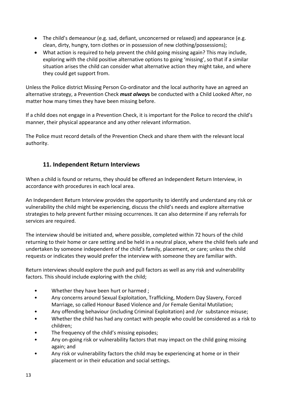- The child's demeanour (e.g. sad, defiant, unconcerned or relaxed) and appearance (e.g. clean, dirty, hungry, torn clothes or in possession of new clothing/possessions);
- What action is required to help prevent the child going missing again? This may include, exploring with the child positive alternative options to going 'missing', so that if a similar situation arises the child can consider what alternative action they might take, and where they could get support from.

Unless the Police district Missing Person Co-ordinator and the local authority have an agreed an alternative strategy, a Prevention Check *must alway***s** be conducted with a Child Looked After, no matter how many times they have been missing before.

If a child does not engage in a Prevention Check, it is important for the Police to record the child's manner, their physical appearance and any other relevant information.

The Police must record details of the Prevention Check and share them with the relevant local authority.

## **11. Independent Return Interviews**

When a child is found or returns, they should be offered an Independent Return Interview, in accordance with procedures in each local area.

An Independent Return Interview provides the opportunity to identify and understand any risk or vulnerability the child might be experiencing, discuss the child's needs and explore alternative strategies to help prevent further missing occurrences. It can also determine if any referrals for services are required.

The interview should be initiated and, where possible, completed within 72 hours of the child returning to their home or care setting and be held in a neutral place, where the child feels safe and undertaken by someone independent of the child's family, placement, or care; unless the child requests or indicates they would prefer the interview with someone they are familiar with.

Return interviews should explore the push and pull factors as well as any risk and vulnerability factors. This should include exploring with the child;

- Whether they have been hurt or harmed ;
- Any concerns around Sexual Exploitation, Trafficking, Modern Day Slavery, Forced Marriage, so called Honour Based Violence and /or Female Genital Mutilation;
- Any offending behaviour (including Criminal Exploitation) and /or substance misuse;
- Whether the child has had any contact with people who could be considered as a risk to children;
- The frequency of the child's missing episodes;
- Any on-going risk or vulnerability factors that may impact on the child going missing again; and
- Any risk or vulnerability factors the child may be experiencing at home or in their placement or in their education and social settings.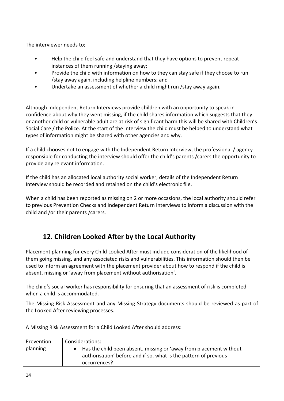The interviewer needs to;

- Help the child feel safe and understand that they have options to prevent repeat instances of them running /staying away;
- Provide the child with information on how to they can stay safe if they choose to run /stay away again, including helpline numbers; and
- Undertake an assessment of whether a child might run /stay away again.

Although Independent Return Interviews provide children with an opportunity to speak in confidence about why they went missing, if the child shares information which suggests that they or another child or vulnerable adult are at risk of significant harm this will be shared with Children's Social Care / the Police. At the start of the interview the child must be helped to understand what types of information might be shared with other agencies and why.

If a child chooses not to engage with the Independent Return Interview, the professional / agency responsible for conducting the interview should offer the child's parents /carers the opportunity to provide any relevant information.

If the child has an allocated local authority social worker, details of the Independent Return Interview should be recorded and retained on the child's electronic file.

When a child has been reported as missing on 2 or more occasions, the local authority should refer to previous Prevention Checks and Independent Return Interviews to inform a discussion with the child and /or their parents /carers.

# **12. Children Looked After by the Local Authority**

Placement planning for every Child Looked After must include consideration of the likelihood of them going missing, and any associated risks and vulnerabilities. This information should then be used to inform an agreement with the placement provider about how to respond if the child is absent, missing or 'away from placement without authorisation'.

The child's social worker has responsibility for ensuring that an assessment of risk is completed when a child is accommodated.

The Missing Risk Assessment and any Missing Strategy documents should be reviewed as part of the Looked After reviewing processes.

A Missing Risk Assessment for a Child Looked After should address:

| Prevention | Considerations:                                                                                                                                        |
|------------|--------------------------------------------------------------------------------------------------------------------------------------------------------|
| planning   | Has the child been absent, missing or 'away from placement without<br>authorisation' before and if so, what is the pattern of previous<br>occurrences? |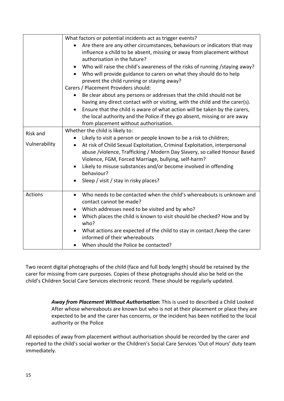|                | What factors or potential incidents act as trigger events?                                |
|----------------|-------------------------------------------------------------------------------------------|
|                | Are there are any other circumstances, behaviours or indicators that may<br>$\bullet$     |
|                | influence a child to be absent, missing or away from placement without                    |
|                | authorisation in the future?                                                              |
|                | Who will raise the child's awareness of the risks of running / staying away?<br>$\bullet$ |
|                | Who will provide guidance to carers on what they should do to help                        |
|                | prevent the child running or staying away?                                                |
|                | Carers / Placement Providers should:                                                      |
|                | Be clear about any persons or addresses that the child should not be                      |
|                | having any direct contact with or visiting, with the child and the carer(s).              |
|                | Ensure that the child is aware of what action will be taken by the carers,<br>$\bullet$   |
|                | the local authority and the Police if they go absent, missing or are away                 |
|                | from placement without authorisation.                                                     |
| Risk and       | Whether the child is likely to:                                                           |
|                | Likely to visit a person or people known to be a risk to children;<br>$\bullet$           |
| Vulnerability  | At risk of Child Sexual Exploitation, Criminal Exploitation, interpersonal<br>$\bullet$   |
|                | abuse /violence, Trafficking / Modern Day Slavery, so called Honour Based                 |
|                | Violence, FGM, Forced Marriage, bullying, self-harm?                                      |
|                | Likely to misuse substances and/or become involved in offending                           |
|                | behaviour?                                                                                |
|                | Sleep / visit / stay in risky places?                                                     |
| <b>Actions</b> | Who needs to be contacted when the child's whereabouts is unknown and<br>$\bullet$        |
|                | contact cannot be made?                                                                   |
|                | Which addresses need to be visited and by who?                                            |
|                | Which places the child is known to visit should be checked? How and by<br>$\bullet$       |
|                | who?                                                                                      |
|                | What actions are expected of the child to stay in contact /keep the carer                 |
|                | informed of their whereabouts                                                             |
|                | When should the Police be contacted?                                                      |

Two recent digital photographs of the child (face and full body length) should be retained by the carer for missing from care purposes. Copies of these photographs should also be held on the child's Children Social Care Services electronic record. These should be regularly updated.

> *Away from Placement Without Authorisation***:** This is used to described a Child Looked After whose whereabouts are known but who is not at their placement or place they are expected to be and the carer has concerns, or the incident has been notified to the local authority or the Police

All episodes of away from placement without authorisation should be recorded by the carer and reported to the child's social worker or the Children's Social Care Services 'Out of Hours' duty team immediately.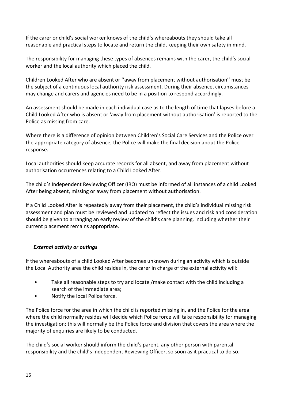If the carer or child's social worker knows of the child's whereabouts they should take all reasonable and practical steps to locate and return the child, keeping their own safety in mind.

The responsibility for managing these types of absences remains with the carer, the child's social worker and the local authority which placed the child.

Children Looked After who are absent or ''away from placement without authorisation'' must be the subject of a continuous local authority risk assessment. During their absence, circumstances may change and carers and agencies need to be in a position to respond accordingly.

An assessment should be made in each individual case as to the length of time that lapses before a Child Looked After who is absent or 'away from placement without authorisation' is reported to the Police as missing from care.

Where there is a difference of opinion between Children's Social Care Services and the Police over the appropriate category of absence, the Police will make the final decision about the Police response.

Local authorities should keep accurate records for all absent, and away from placement without authorisation occurrences relating to a Child Looked After.

The child's Independent Reviewing Officer (IRO) must be informed of all instances of a child Looked After being absent, missing or away from placement without authorisation.

If a Child Looked After is repeatedly away from their placement, the child's individual missing risk assessment and plan must be reviewed and updated to reflect the issues and risk and consideration should be given to arranging an early review of the child's care planning, including whether their current placement remains appropriate.

### *External activity or outings*

If the whereabouts of a child Looked After becomes unknown during an activity which is outside the Local Authority area the child resides in, the carer in charge of the external activity will:

- Take all reasonable steps to try and locate /make contact with the child including a search of the immediate area;
- Notify the local Police force.

The Police force for the area in which the child is reported missing in, and the Police for the area where the child normally resides will decide which Police force will take responsibility for managing the investigation; this will normally be the Police force and division that covers the area where the majority of enquiries are likely to be conducted.

The child's social worker should inform the child's parent, any other person with parental responsibility and the child's Independent Reviewing Officer, so soon as it practical to do so.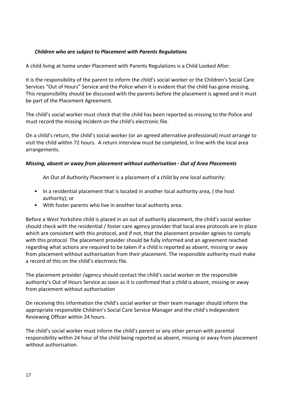#### *Children who are subject to Placement with Parents Regulations*

A child living at home under Placement with Parents Regulations is a Child Looked After.

It is the responsibility of the parent to inform the child's social worker or the Children's Social Care Services "Out of Hours" Service and the Police when it is evident that the child has gone missing. This responsibility should be discussed with the parents before the placement is agreed and it must be part of the Placement Agreement.

The child's social worker must check that the child has been reported as missing to the Police and must record the missing incident on the child's electronic file.

On a child's return, the child's social worker (or an agreed alternative professional) must arrange to visit the child within 72 hours. A return interview must be completed, in line with the local area arrangements.

#### *Missing, absent or away from placement without authorisation - Out of Area Placements*

An Out of Authority Placement is a placement of a child by one local authority:

- In a residential placement that is located in another local authority area, ( the host authority); or
- With foster parents who live in another local authority area.

Before a West Yorkshire child is placed in an out of authority placement, the child's social worker should check with the residential / foster care agency provider that local area protocols are in place which are consistent with this protocol, and if not, that the placement provider agrees to comply with this protocol. The placement provider should be fully informed and an agreement reached regarding what actions are required to be taken if a child is reported as absent, missing or away from placement without authorisation from their placement. The responsible authority must make a record of this on the child's electronic file.

The placement provider /agency should contact the child's social worker or the responsible authority's Out of Hours Service as soon as it is confirmed that a child is absent, missing or away from placement without authorisation

On receiving this information the child's social worker or their team manager should inform the appropriate responsible Children's Social Care Service Manager and the child's Independent Reviewing Officer within 24 hours.

The child's social worker must inform the child's parent or any other person with parental responsibility within 24 hour of the child being reported as absent, missing or away from placement without authorisation.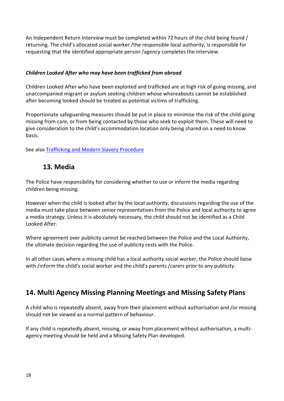An Independent Return Interview must be completed within 72 hours of the child being found / returning. The child's allocated social worker /the responsible local authority, is responsible for requesting that the identified appropriate person /agency completes the interview.

#### *Children Looked After who may have been trafficked from abroad*

Children Looked After who have been exploited and trafficked are at high risk of going missing, and unaccompanied migrant or asylum seeking children whose whereabouts cannot be established after becoming looked should be treated as potential victims of trafficking.

Proportionate safeguarding measures should be put in place to minimise the risk of the child going missing from care, or from being contacted by those who seek to exploit them. These will need to give consideration to the child's accommodation location only being shared on a need to know basis.

See also [Trafficking and Modern Slavery Procedure](http://westyorkscb.proceduresonline.com/chapters/p_safeg_traff_ch.htm) 

## **13. Media**

The Police have responsibility for considering whether to use or inform the media regarding children being missing.

However when the child is looked after by the local authority, discussions regarding the use of the media must take place between senior representatives from the Police and local authority to agree a media strategy. Unless it is absolutely necessary, the child should not be identified as a Child Looked After.

Where agreement over publicity cannot be reached between the Police and the Local Authority, the ultimate decision regarding the use of publicity rests with the Police.

In all other cases where a missing child has a local authority social worker, the Police should liaise with /inform the child's social worker and the child's parents / carers prior to any publicity.

## **14. Multi Agency Missing Planning Meetings and Missing Safety Plans**

A child who is repeatedly absent, away from their placement without authorisation and /or missing should not be viewed as a normal pattern of behaviour.

If any child is repeatedly absent, missing, or away from placement without authorisation, a multiagency meeting should be held and a Missing Safety Plan developed.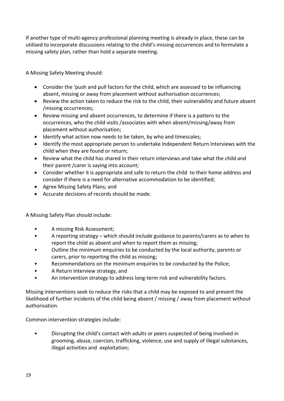If another type of multi-agency professional planning meeting is already in place, these can be utilised to incorporate discussions relating to the child's missing occurrences and to formulate a missing safety plan, rather than hold a separate meeting.

A Missing Safety Meeting should:

- Consider the 'push and pull factors for the child, which are assessed to be influencing absent, missing or away from placement without authorisation occurrences;
- Review the action taken to reduce the risk to the child, their vulnerability and future absent /missing occurrences;
- Review missing and absent occurrences, to determine if there is a pattern to the occurrences, who the child visits /associates with when absent/missing/away from placement without authorisation;
- Identify what action now needs to be taken, by who and timescales;
- Identify the most appropriate person to undertake Independent Return Interviews with the child when they are found or return;
- Review what the child has shared in their return interviews and take what the child and their parent /carer is saying into account;
- Consider whether it is appropriate and safe to return the child to their home address and consider if there is a need for alternative accommodation to be identified;
- Agree Missing Safety Plans; and
- Accurate decisions of records should be made.

A Missing Safety Plan should include:

- A missing Risk Assessment;
- A reporting strategy which should include guidance to parents/carers as to when to report the child as absent and when to report them as missing;
- Outline the minimum enquiries to be conducted by the local authority, parents or carers, prior to reporting the child as missing;
- Recommendations on the minimum enquiries to be conducted by the Police;
- A Return Interview strategy, and
- An intervention strategy to address long-term risk and vulnerability factors.

Missing interventions seek to reduce the risks that a child may be exposed to and prevent the likelihood of further incidents of the child being absent / missing / away from placement without authorisation.

Common intervention strategies include:

• Disrupting the child's contact with adults or peers suspected of being involved in grooming, abuse, coercion, trafficking, violence, use and supply of illegal substances, illegal activities and exploitation;